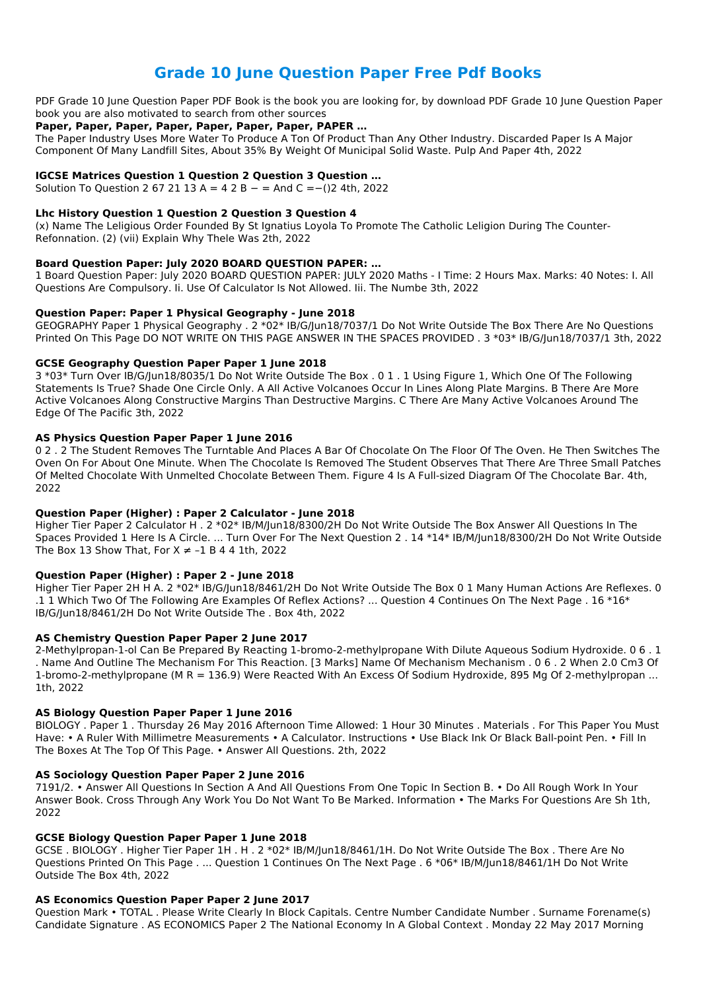# **Grade 10 June Question Paper Free Pdf Books**

PDF Grade 10 June Question Paper PDF Book is the book you are looking for, by download PDF Grade 10 June Question Paper book you are also motivated to search from other sources

### **Paper, Paper, Paper, Paper, Paper, Paper, Paper, PAPER …**

The Paper Industry Uses More Water To Produce A Ton Of Product Than Any Other Industry. Discarded Paper Is A Major Component Of Many Landfill Sites, About 35% By Weight Of Municipal Solid Waste. Pulp And Paper 4th, 2022

### **IGCSE Matrices Question 1 Question 2 Question 3 Question …**

Solution To Question 2 67 21 13 A = 4 2 B  $-$  = And C =-()2 4th, 2022

### **Lhc History Question 1 Question 2 Question 3 Question 4**

(x) Name The Leligious Order Founded By St Ignatius Loyola To Promote The Catholic Leligion During The Counter-Refonnation. (2) (vii) Explain Why Thele Was 2th, 2022

### **Board Question Paper: July 2020 BOARD QUESTION PAPER: …**

1 Board Question Paper: July 2020 BOARD QUESTION PAPER: JULY 2020 Maths - I Time: 2 Hours Max. Marks: 40 Notes: I. All Questions Are Compulsory. Ii. Use Of Calculator Is Not Allowed. Iii. The Numbe 3th, 2022

### **Question Paper: Paper 1 Physical Geography - June 2018**

Higher Tier Paper 2 Calculator H . 2 \*02\* IB/M/Jun18/8300/2H Do Not Write Outside The Box Answer All Questions In The Spaces Provided 1 Here Is A Circle. ... Turn Over For The Next Question 2 . 14 \*14\* IB/M/Jun18/8300/2H Do Not Write Outside The Box 13 Show That, For  $X \ne -1$  B 4 4 1th, 2022

GEOGRAPHY Paper 1 Physical Geography . 2 \*02\* IB/G/Jun18/7037/1 Do Not Write Outside The Box There Are No Questions Printed On This Page DO NOT WRITE ON THIS PAGE ANSWER IN THE SPACES PROVIDED . 3 \*03\* IB/G/Jun18/7037/1 3th, 2022

### **GCSE Geography Question Paper Paper 1 June 2018**

3 \*03\* Turn Over IB/G/Jun18/8035/1 Do Not Write Outside The Box . 0 1 . 1 Using Figure 1, Which One Of The Following Statements Is True? Shade One Circle Only. A All Active Volcanoes Occur In Lines Along Plate Margins. B There Are More Active Volcanoes Along Constructive Margins Than Destructive Margins. C There Are Many Active Volcanoes Around The Edge Of The Pacific 3th, 2022

### **AS Physics Question Paper Paper 1 June 2016**

0 2 . 2 The Student Removes The Turntable And Places A Bar Of Chocolate On The Floor Of The Oven. He Then Switches The Oven On For About One Minute. When The Chocolate Is Removed The Student Observes That There Are Three Small Patches Of Melted Chocolate With Unmelted Chocolate Between Them. Figure 4 Is A Full-sized Diagram Of The Chocolate Bar. 4th, 2022

### **Question Paper (Higher) : Paper 2 Calculator - June 2018**

### **Question Paper (Higher) : Paper 2 - June 2018**

Higher Tier Paper 2H H A. 2 \*02\* IB/G/Jun18/8461/2H Do Not Write Outside The Box 0 1 Many Human Actions Are Reflexes. 0 .1 1 Which Two Of The Following Are Examples Of Reflex Actions? ... Question 4 Continues On The Next Page .  $16 * 16*$ IB/G/Jun18/8461/2H Do Not Write Outside The . Box 4th, 2022

### **AS Chemistry Question Paper Paper 2 June 2017**

2-Methylpropan-1-ol Can Be Prepared By Reacting 1-bromo-2-methylpropane With Dilute Aqueous Sodium Hydroxide. 0 6 . 1 . Name And Outline The Mechanism For This Reaction. [3 Marks] Name Of Mechanism Mechanism . 0 6 . 2 When 2.0 Cm3 Of 1-bromo-2-methylpropane (M R = 136.9) Were Reacted With An Excess Of Sodium Hydroxide, 895 Mg Of 2-methylpropan ... 1th, 2022

#### **AS Biology Question Paper Paper 1 June 2016**

BIOLOGY . Paper 1 . Thursday 26 May 2016 Afternoon Time Allowed: 1 Hour 30 Minutes . Materials . For This Paper You Must Have: • A Ruler With Millimetre Measurements • A Calculator. Instructions • Use Black Ink Or Black Ball-point Pen. • Fill In

The Boxes At The Top Of This Page. • Answer All Questions. 2th, 2022

#### **AS Sociology Question Paper Paper 2 June 2016**

7191/2. • Answer All Questions In Section A And All Questions From One Topic In Section B. • Do All Rough Work In Your Answer Book. Cross Through Any Work You Do Not Want To Be Marked. Information • The Marks For Questions Are Sh 1th, 2022

#### **GCSE Biology Question Paper Paper 1 June 2018**

GCSE . BIOLOGY . Higher Tier Paper 1H . H . 2 \*02\* IB/M/Jun18/8461/1H. Do Not Write Outside The Box . There Are No Questions Printed On This Page . ... Question 1 Continues On The Next Page . 6 \*06\* IB/M/Jun18/8461/1H Do Not Write Outside The Box 4th, 2022

#### **AS Economics Question Paper Paper 2 June 2017**

Question Mark • TOTAL . Please Write Clearly In Block Capitals. Centre Number Candidate Number . Surname Forename(s) Candidate Signature . AS ECONOMICS Paper 2 The National Economy In A Global Context . Monday 22 May 2017 Morning